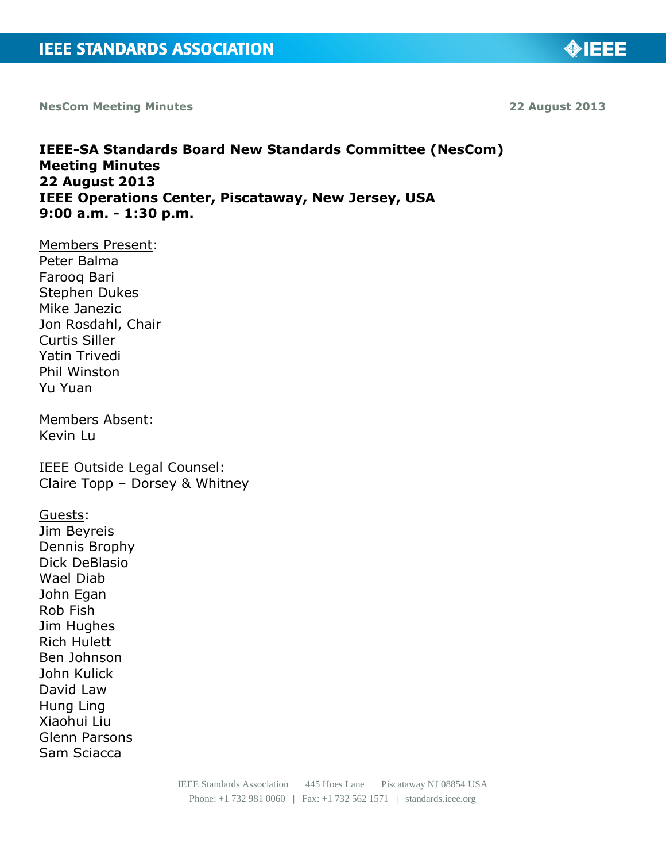**NesCom Meeting Minutes 22 August 2013**

**Meeting Minutes**

# **22 August 2013 IEEE Operations Center, Piscataway, New Jersey, USA 9:00 a.m. - 1:30 p.m.** Members Present: Peter Balma Farooq Bari Stephen Dukes Mike Janezic Jon Rosdahl, Chair Curtis Siller Yatin Trivedi Phil Winston Yu Yuan Members Absent: Kevin Lu IEEE Outside Legal Counsel: Claire Topp – Dorsey & Whitney Guests: Jim Beyreis Dennis Brophy Dick DeBlasio Wael Diab John Egan Rob Fish Jim Hughes Rich Hulett Ben Johnson John Kulick David Law Hung Ling Xiaohui Liu Glenn Parsons Sam Sciacca

**IEEE-SA Standards Board New Standards Committee (NesCom)**

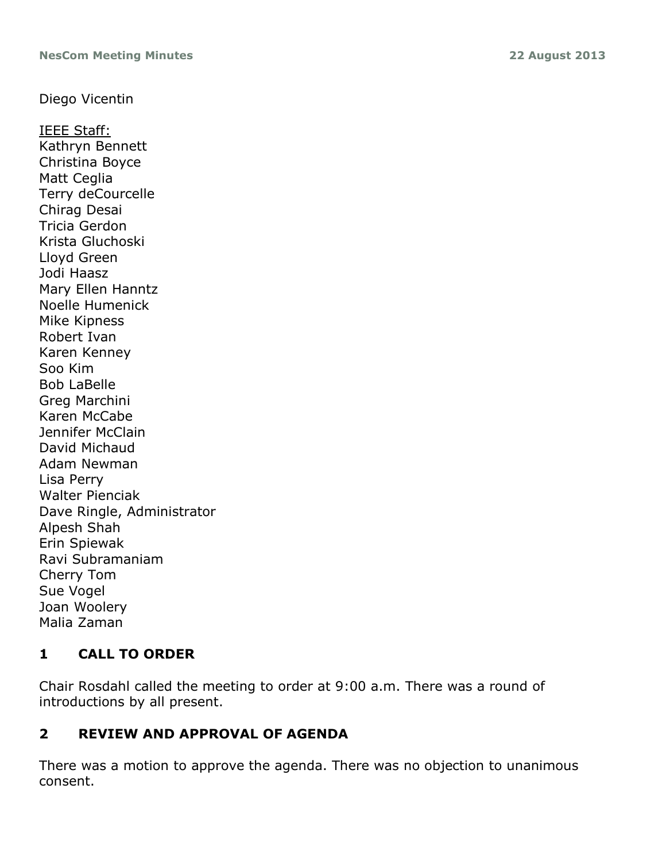## Diego Vicentin

IEEE Staff: Kathryn Bennett Christina Boyce Matt Ceglia Terry deCourcelle Chirag Desai Tricia Gerdon Krista Gluchoski Lloyd Green Jodi Haasz Mary Ellen Hanntz Noelle Humenick Mike Kipness Robert Ivan Karen Kenney Soo Kim Bob LaBelle Greg Marchini Karen McCabe Jennifer McClain David Michaud Adam Newman Lisa Perry Walter Pienciak Dave Ringle, Administrator Alpesh Shah Erin Spiewak Ravi Subramaniam Cherry Tom Sue Vogel Joan Woolery Malia Zaman

# **1 CALL TO ORDER**

Chair Rosdahl called the meeting to order at 9:00 a.m. There was a round of introductions by all present.

# **2 REVIEW AND APPROVAL OF AGENDA**

There was a motion to approve the agenda. There was no objection to unanimous consent.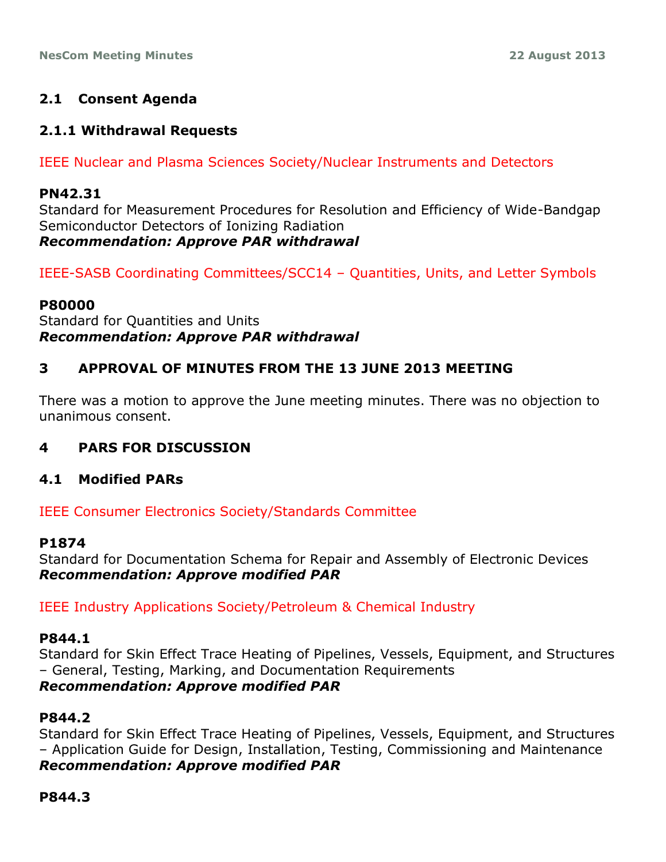## **2.1 Consent Agenda**

### **2.1.1 Withdrawal Requests**

IEEE Nuclear and Plasma Sciences Society/Nuclear Instruments and Detectors

#### **PN42.31**

Standard for Measurement Procedures for Resolution and Efficiency of Wide-Bandgap Semiconductor Detectors of Ionizing Radiation *Recommendation: Approve PAR withdrawal*

IEEE-SASB Coordinating Committees/SCC14 – Quantities, Units, and Letter Symbols

### **P80000**

Standard for Quantities and Units *Recommendation: Approve PAR withdrawal*

## **3 APPROVAL OF MINUTES FROM THE 13 JUNE 2013 MEETING**

There was a motion to approve the June meeting minutes. There was no objection to unanimous consent.

## **4 PARS FOR DISCUSSION**

### **4.1 Modified PARs**

IEEE Consumer Electronics Society/Standards Committee

### **P1874**

Standard for Documentation Schema for Repair and Assembly of Electronic Devices *Recommendation: Approve modified PAR*

IEEE Industry Applications Society/Petroleum & Chemical Industry

### **P844.1**

Standard for Skin Effect Trace Heating of Pipelines, Vessels, Equipment, and Structures – General, Testing, Marking, and Documentation Requirements *Recommendation: Approve modified PAR*

### **P844.2**

Standard for Skin Effect Trace Heating of Pipelines, Vessels, Equipment, and Structures – Application Guide for Design, Installation, Testing, Commissioning and Maintenance *Recommendation: Approve modified PAR*

**P844.3**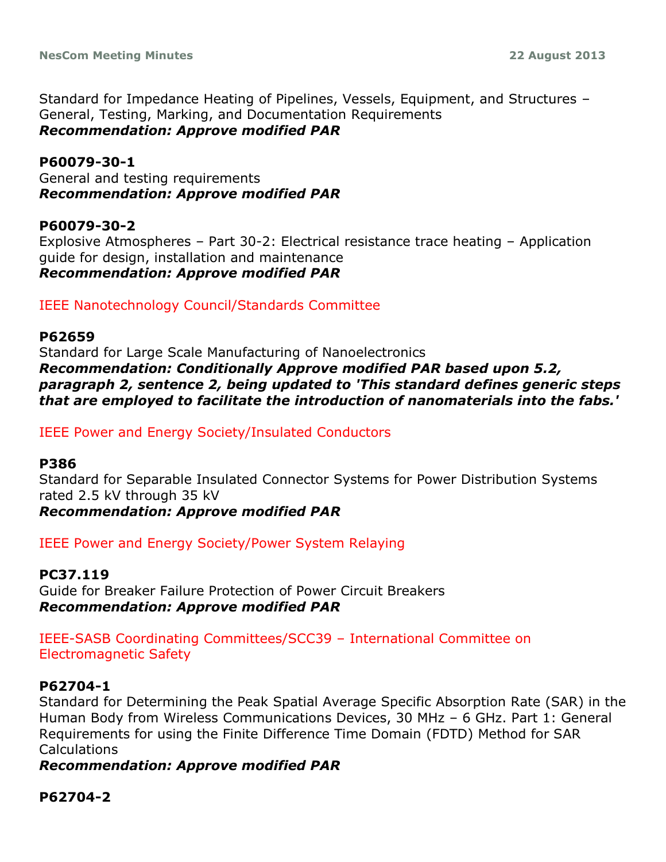Standard for Impedance Heating of Pipelines, Vessels, Equipment, and Structures – General, Testing, Marking, and Documentation Requirements *Recommendation: Approve modified PAR*

#### **P60079-30-1**

General and testing requirements *Recommendation: Approve modified PAR*

### **P60079-30-2**

Explosive Atmospheres – Part 30-2: Electrical resistance trace heating – Application guide for design, installation and maintenance *Recommendation: Approve modified PAR*

IEEE Nanotechnology Council/Standards Committee

#### **P62659**

Standard for Large Scale Manufacturing of Nanoelectronics *Recommendation: Conditionally Approve modified PAR based upon 5.2, paragraph 2, sentence 2, being updated to 'This standard defines generic steps that are employed to facilitate the introduction of nanomaterials into the fabs.'*

IEEE Power and Energy Society/Insulated Conductors

#### **P386**

Standard for Separable Insulated Connector Systems for Power Distribution Systems rated 2.5 kV through 35 kV *Recommendation: Approve modified PAR*

IEEE Power and Energy Society/Power System Relaying

**PC37.119** Guide for Breaker Failure Protection of Power Circuit Breakers *Recommendation: Approve modified PAR*

IEEE-SASB Coordinating Committees/SCC39 – International Committee on Electromagnetic Safety

### **P62704-1**

Standard for Determining the Peak Spatial Average Specific Absorption Rate (SAR) in the Human Body from Wireless Communications Devices, 30 MHz – 6 GHz. Part 1: General Requirements for using the Finite Difference Time Domain (FDTD) Method for SAR **Calculations** 

*Recommendation: Approve modified PAR*

### **P62704-2**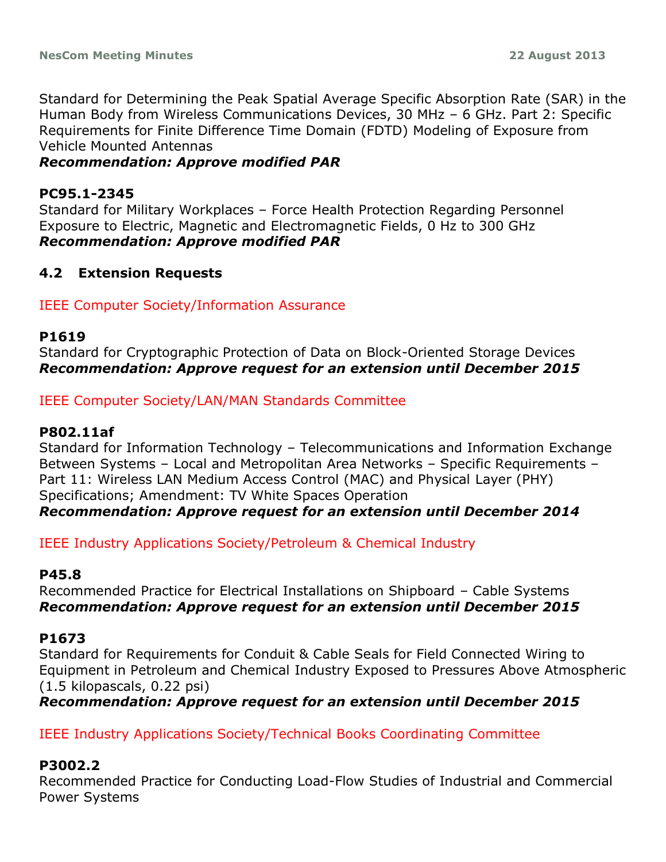Standard for Determining the Peak Spatial Average Specific Absorption Rate (SAR) in the Human Body from Wireless Communications Devices, 30 MHz – 6 GHz. Part 2: Specific Requirements for Finite Difference Time Domain (FDTD) Modeling of Exposure from Vehicle Mounted Antennas

## *Recommendation: Approve modified PAR*

## **PC95.1-2345**

Standard for Military Workplaces – Force Health Protection Regarding Personnel Exposure to Electric, Magnetic and Electromagnetic Fields, 0 Hz to 300 GHz *Recommendation: Approve modified PAR*

## **4.2 Extension Requests**

## IEEE Computer Society/Information Assurance

### **P1619**

Standard for Cryptographic Protection of Data on Block-Oriented Storage Devices *Recommendation: Approve request for an extension until December 2015*

IEEE Computer Society/LAN/MAN Standards Committee

## **P802.11af**

Standard for Information Technology – Telecommunications and Information Exchange Between Systems – Local and Metropolitan Area Networks – Specific Requirements – Part 11: Wireless LAN Medium Access Control (MAC) and Physical Layer (PHY) Specifications; Amendment: TV White Spaces Operation *Recommendation: Approve request for an extension until December 2014*

IEEE Industry Applications Society/Petroleum & Chemical Industry

## **P45.8**

Recommended Practice for Electrical Installations on Shipboard – Cable Systems *Recommendation: Approve request for an extension until December 2015*

## **P1673**

Standard for Requirements for Conduit & Cable Seals for Field Connected Wiring to Equipment in Petroleum and Chemical Industry Exposed to Pressures Above Atmospheric (1.5 kilopascals, 0.22 psi)

*Recommendation: Approve request for an extension until December 2015*

IEEE Industry Applications Society/Technical Books Coordinating Committee

## **P3002.2**

Recommended Practice for Conducting Load-Flow Studies of Industrial and Commercial Power Systems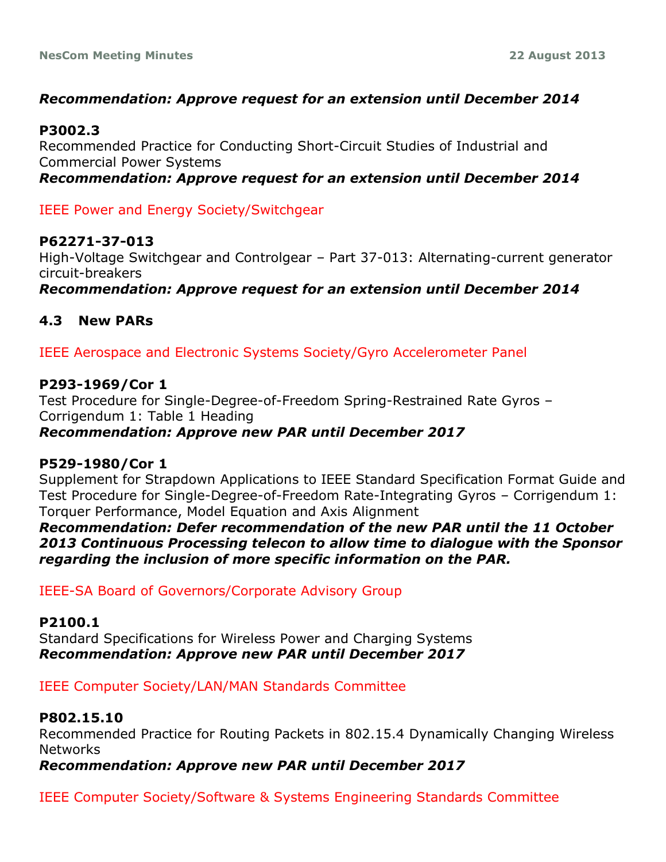## *Recommendation: Approve request for an extension until December 2014*

### **P3002.3**

Recommended Practice for Conducting Short-Circuit Studies of Industrial and Commercial Power Systems

*Recommendation: Approve request for an extension until December 2014*

IEEE Power and Energy Society/Switchgear

## **P62271-37-013**

High-Voltage Switchgear and Controlgear – Part 37-013: Alternating-current generator circuit-breakers

*Recommendation: Approve request for an extension until December 2014*

## **4.3 New PARs**

IEEE Aerospace and Electronic Systems Society/Gyro Accelerometer Panel

## **P293-1969/Cor 1**

Test Procedure for Single-Degree-of-Freedom Spring-Restrained Rate Gyros – Corrigendum 1: Table 1 Heading *Recommendation: Approve new PAR until December 2017*

## **P529-1980/Cor 1**

Supplement for Strapdown Applications to IEEE Standard Specification Format Guide and Test Procedure for Single-Degree-of-Freedom Rate-Integrating Gyros – Corrigendum 1: Torquer Performance, Model Equation and Axis Alignment

*Recommendation: Defer recommendation of the new PAR until the 11 October 2013 Continuous Processing telecon to allow time to dialogue with the Sponsor regarding the inclusion of more specific information on the PAR.*

IEEE-SA Board of Governors/Corporate Advisory Group

**P2100.1** Standard Specifications for Wireless Power and Charging Systems *Recommendation: Approve new PAR until December 2017*

IEEE Computer Society/LAN/MAN Standards Committee

## **P802.15.10**

Recommended Practice for Routing Packets in 802.15.4 Dynamically Changing Wireless Networks

*Recommendation: Approve new PAR until December 2017*

IEEE Computer Society/Software & Systems Engineering Standards Committee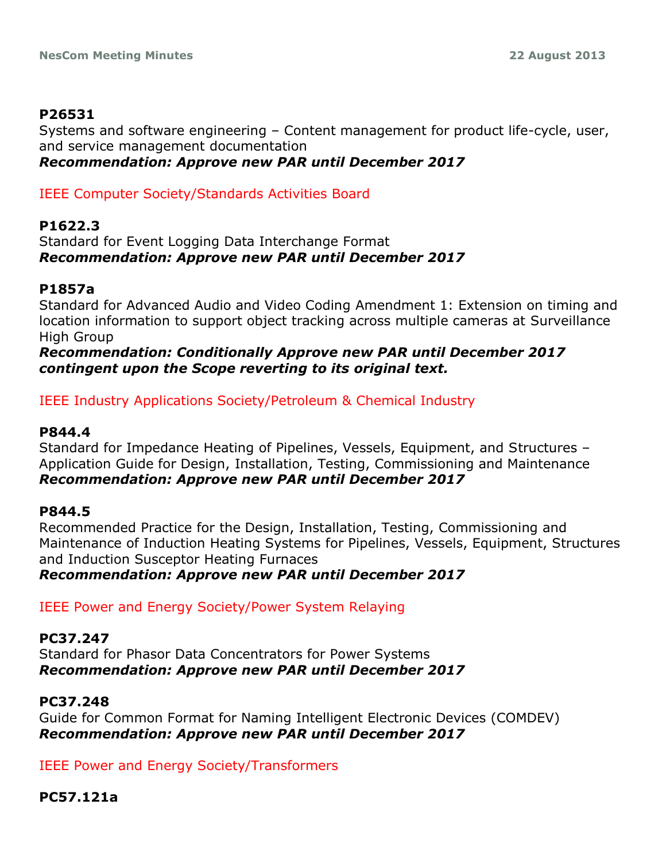## **P26531**

Systems and software engineering – Content management for product life-cycle, user, and service management documentation *Recommendation: Approve new PAR until December 2017*

IEEE Computer Society/Standards Activities Board

## **P1622.3**

Standard for Event Logging Data Interchange Format *Recommendation: Approve new PAR until December 2017*

## **P1857a**

Standard for Advanced Audio and Video Coding Amendment 1: Extension on timing and location information to support object tracking across multiple cameras at Surveillance High Group

## *Recommendation: Conditionally Approve new PAR until December 2017 contingent upon the Scope reverting to its original text.*

## IEEE Industry Applications Society/Petroleum & Chemical Industry

## **P844.4**

Standard for Impedance Heating of Pipelines, Vessels, Equipment, and Structures – Application Guide for Design, Installation, Testing, Commissioning and Maintenance *Recommendation: Approve new PAR until December 2017*

## **P844.5**

Recommended Practice for the Design, Installation, Testing, Commissioning and Maintenance of Induction Heating Systems for Pipelines, Vessels, Equipment, Structures and Induction Susceptor Heating Furnaces *Recommendation: Approve new PAR until December 2017*

IEEE Power and Energy Society/Power System Relaying

## **PC37.247**

Standard for Phasor Data Concentrators for Power Systems *Recommendation: Approve new PAR until December 2017*

## **PC37.248**

Guide for Common Format for Naming Intelligent Electronic Devices (COMDEV) *Recommendation: Approve new PAR until December 2017*

IEEE Power and Energy Society/Transformers

## **PC57.121a**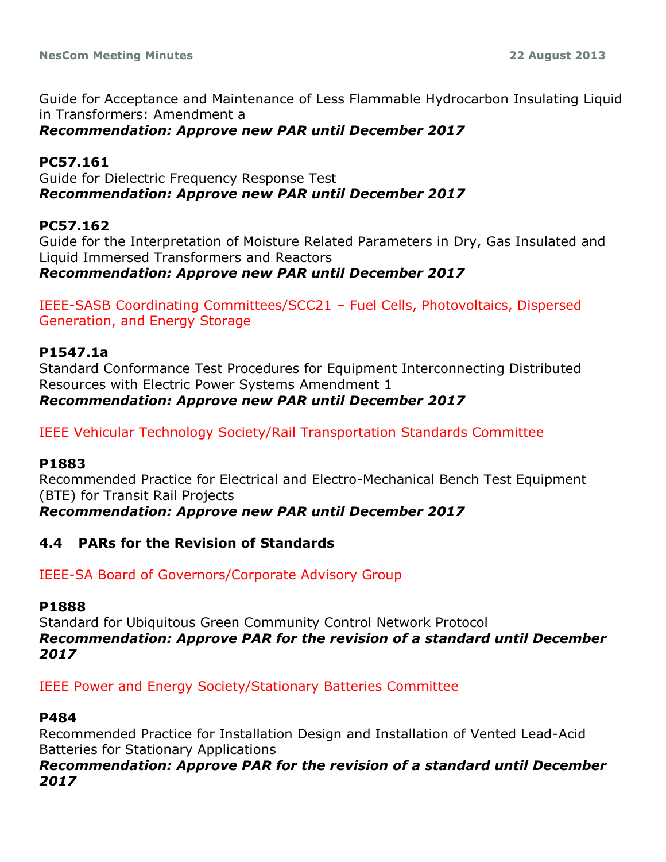Guide for Acceptance and Maintenance of Less Flammable Hydrocarbon Insulating Liquid in Transformers: Amendment a

*Recommendation: Approve new PAR until December 2017*

## **PC57.161**

Guide for Dielectric Frequency Response Test *Recommendation: Approve new PAR until December 2017*

## **PC57.162**

Guide for the Interpretation of Moisture Related Parameters in Dry, Gas Insulated and Liquid Immersed Transformers and Reactors

*Recommendation: Approve new PAR until December 2017*

IEEE-SASB Coordinating Committees/SCC21 – Fuel Cells, Photovoltaics, Dispersed Generation, and Energy Storage

## **P1547.1a**

Standard Conformance Test Procedures for Equipment Interconnecting Distributed Resources with Electric Power Systems Amendment 1 *Recommendation: Approve new PAR until December 2017*

IEEE Vehicular Technology Society/Rail Transportation Standards Committee

### **P1883**

Recommended Practice for Electrical and Electro-Mechanical Bench Test Equipment (BTE) for Transit Rail Projects *Recommendation: Approve new PAR until December 2017*

## **4.4 PARs for the Revision of Standards**

## IEEE-SA Board of Governors/Corporate Advisory Group

### **P1888**

Standard for Ubiquitous Green Community Control Network Protocol *Recommendation: Approve PAR for the revision of a standard until December 2017*

IEEE Power and Energy Society/Stationary Batteries Committee

### **P484**

Recommended Practice for Installation Design and Installation of Vented Lead-Acid Batteries for Stationary Applications

### *Recommendation: Approve PAR for the revision of a standard until December 2017*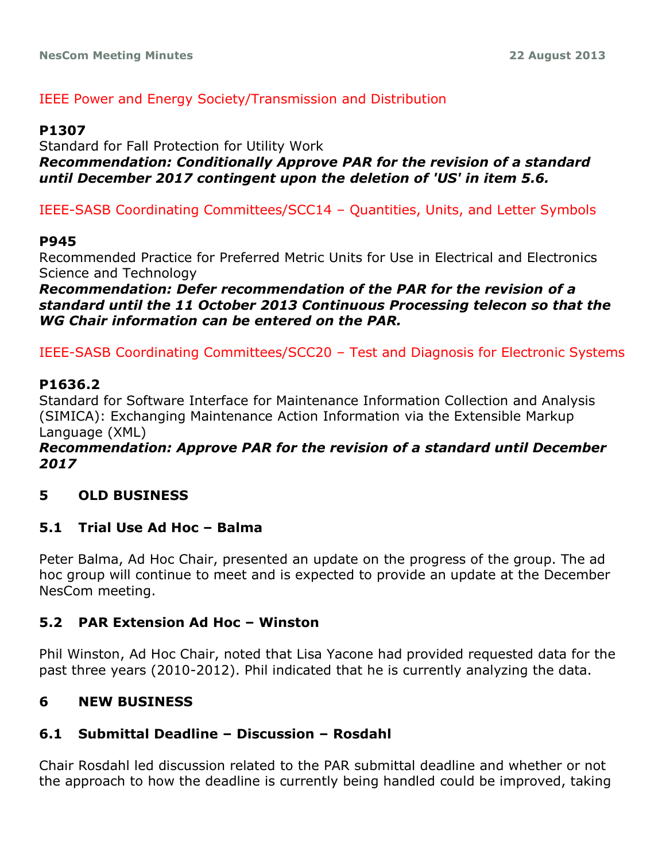## IEEE Power and Energy Society/Transmission and Distribution

### **P1307**

Standard for Fall Protection for Utility Work *Recommendation: Conditionally Approve PAR for the revision of a standard until December 2017 contingent upon the deletion of 'US' in item 5.6.*

IEEE-SASB Coordinating Committees/SCC14 – Quantities, Units, and Letter Symbols

### **P945**

Recommended Practice for Preferred Metric Units for Use in Electrical and Electronics Science and Technology

*Recommendation: Defer recommendation of the PAR for the revision of a standard until the 11 October 2013 Continuous Processing telecon so that the WG Chair information can be entered on the PAR.*

IEEE-SASB Coordinating Committees/SCC20 – Test and Diagnosis for Electronic Systems

### **P1636.2**

Standard for Software Interface for Maintenance Information Collection and Analysis (SIMICA): Exchanging Maintenance Action Information via the Extensible Markup Language (XML)

### *Recommendation: Approve PAR for the revision of a standard until December 2017*

## **5 OLD BUSINESS**

### **5.1 Trial Use Ad Hoc – Balma**

Peter Balma, Ad Hoc Chair, presented an update on the progress of the group. The ad hoc group will continue to meet and is expected to provide an update at the December NesCom meeting.

### **5.2 PAR Extension Ad Hoc – Winston**

Phil Winston, Ad Hoc Chair, noted that Lisa Yacone had provided requested data for the past three years (2010-2012). Phil indicated that he is currently analyzing the data.

## **6 NEW BUSINESS**

## **6.1 Submittal Deadline – Discussion – Rosdahl**

Chair Rosdahl led discussion related to the PAR submittal deadline and whether or not the approach to how the deadline is currently being handled could be improved, taking